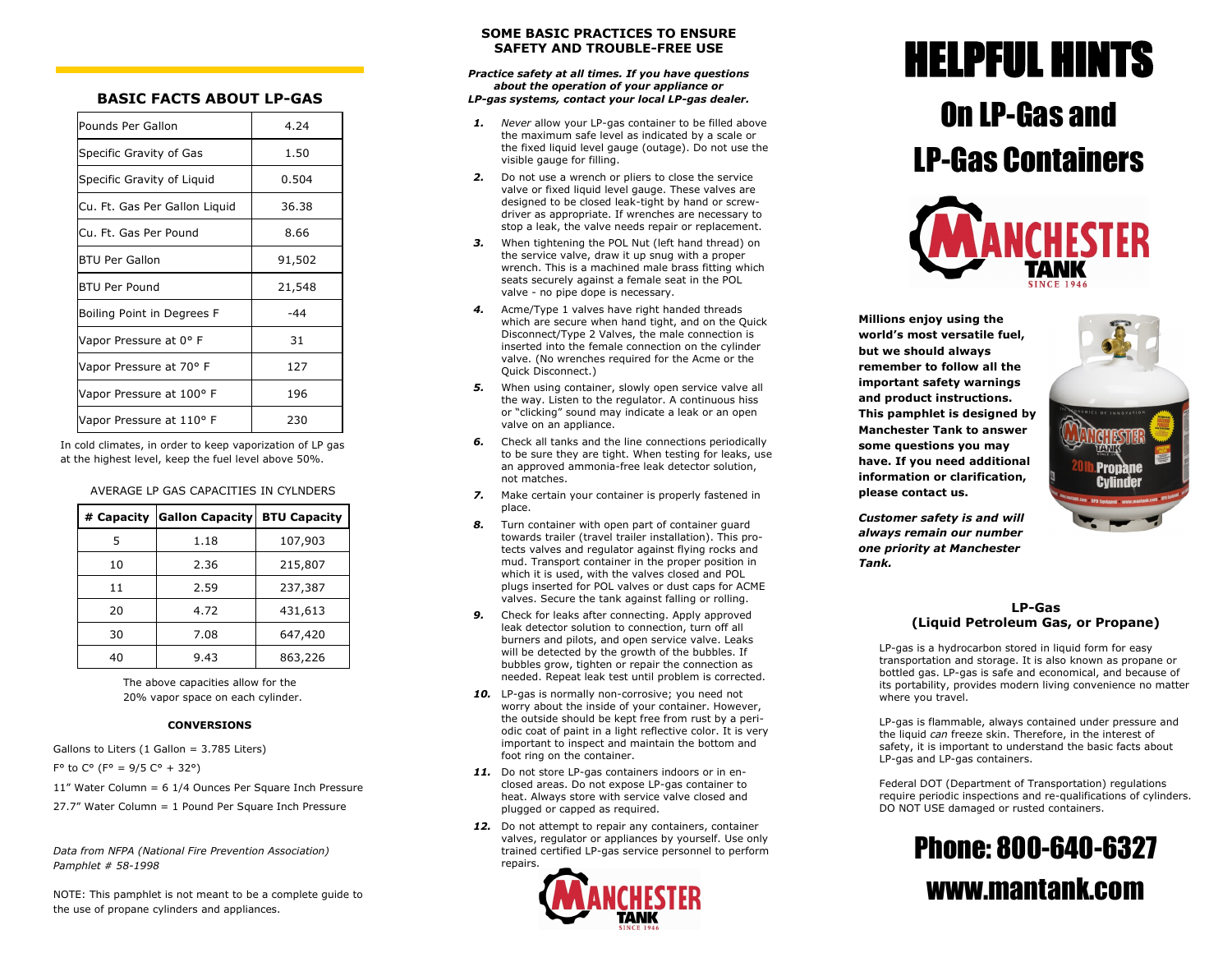# **BASIC FACTS ABOUT LP-GAS**

| Pounds Per Gallon             | 4.24   |
|-------------------------------|--------|
| Specific Gravity of Gas       | 1.50   |
| Specific Gravity of Liquid    | 0.504  |
| Cu. Ft. Gas Per Gallon Liquid | 36.38  |
| Cu. Ft. Gas Per Pound         | 8.66   |
| BTU Per Gallon                | 91,502 |
| BTU Per Pound                 | 21,548 |
| Boiling Point in Degrees F    | $-44$  |
| Vapor Pressure at 0° F        | 31     |
| Vapor Pressure at 70° F       | 127    |
| Vapor Pressure at 100° F      | 196    |
| Vapor Pressure at 110° F      | 230    |

In cold climates, in order to keep vaporization of LP gas at the highest level, keep the fuel level above 50%.

### AVERAGE LP GAS CAPACITIES IN CYLNDERS

| # Capacity | <b>Gallon Capacity</b> | <b>BTU Capacity</b> |
|------------|------------------------|---------------------|
| 5          | 1.18                   | 107,903             |
| 10         | 2.36                   | 215,807             |
| 11         | 2.59                   | 237,387             |
| 20         | 4.72                   | 431,613             |
| 30         | 7.08                   | 647,420             |
| 40         | 9.43                   | 863,226             |

The above capacities allow for the 20% vapor space on each cylinder.

### **CONVERSIONS**

Gallons to Liters (1 Gallon = 3.785 Liters)  $F<sup>o</sup>$  to  $C<sup>o</sup>$  ( $F<sup>o</sup> = 9/5 C<sup>o</sup> + 32<sup>o</sup>$ )

11" Water Column = 6 1/4 Ounces Per Square Inch Pressure  $27.7''$  Water Column = 1 Pound Per Square Inch Pressure

*Data from NFPA (National Fire Prevention Association) Pamphlet # 58-1998*

NOTE: This pamphlet is not meant to be a complete guide to the use of propane cylinders and appliances.

### **SOME BASIC PRACTICES TO ENSURE SAFFTY AND TROUBLE-FREE USE**

#### *Practice safety at all times. If you have questions about the operation of your appliance or LP-gas systems, contact your local LP-gas dealer.*

- *1. Never* allow your LP-gas container to be filled above the maximum safe level as indicated by a scale or the fixed liquid level gauge (outage). Do not use the visible gauge for filling.
- *2.* Do not use a wrench or pliers to close the service valve or fixed liquid level gauge. These valves are designed to be closed leak-tight by hand or screwdriver as appropriate. If wrenches are necessary to stop a leak, the valve needs repair or replacement.
- *3.* When tightening the POL Nut (left hand thread) on the service valve, draw it up snug with a proper wrench. This is a machined male brass fitting which seats securely against a female seat in the POL valve - no pipe dope is necessary.
- *4.* Acme/Type 1 valves have right handed threads which are secure when hand tight, and on the Quick Disconnect/Type 2 Valves, the male connection is inserted into the female connection on the cylinder valve. (No wrenches required for the Acme or the Quick Disconnect.)
- *5.* When using container, slowly open service valve all the way. Listen to the regulator. A continuous hiss or "clicking" sound may indicate a leak or an open valve on an appliance.
- *6.* Check all tanks and the line connections periodically to be sure they are tight. When testing for leaks, use an approved ammonia-free leak detector solution, not matches.
- *7.* Make certain your container is properly fastened in place.
- *8.* Turn container with open part of container guard towards trailer (travel trailer installation). This protects valves and regulator against flying rocks and mud. Transport container in the proper position in which it is used, with the valves closed and POL plugs inserted for POL valves or dust caps for ACME valves. Secure the tank against falling or rolling.
- *9.* Check for leaks after connecting. Apply approved leak detector solution to connection, turn off all burners and pilots, and open service valve. Leaks will be detected by the growth of the bubbles. If bubbles grow, tighten or repair the connection as needed. Repeat leak test until problem is corrected.
- 10. LP-gas is normally non-corrosive; you need not worry about the inside of your container. However, the outside should be kept free from rust by a periodic coat of paint in a light reflective color. It is very important to inspect and maintain the bottom and foot ring on the container.
- 11. Do not store LP-gas containers indoors or in enclosed areas. Do not expose LP-gas container to heat. Always store with service valve closed and plugged or capped as required.
- 12. Do not attempt to repair any containers, container valves, regulator or appliances by yourself. Use only trained certified LP-gas service personnel to perform repairs.



# HELPFUL HINTS

# On LP-Gas and LP-Gas Containers



**Millions enjoy using the world's most versatile fuel, but we should always remember to follow all the important safety warnings and product instructions. This pamphlet is designed by Manchester Tank to answer some questions you may have. If you need additional information or clarification, please contact us.** 



*Customer safety is and will always remain our number one priority at Manchester Tank.*

### **LP-Gas (Liquid Petroleum Gas, or Propane)**

LP-gas is a hydrocarbon stored in liquid form for easy transportation and storage. It is also known as propane or bottled gas. LP-gas is safe and economical, and because of its portability, provides modern living convenience no matter where you travel.

LP-gas is flammable, always contained under pressure and the liquid *can* freeze skin. Therefore, in the interest of safety, it is important to understand the basic facts about LP-gas and LP-gas containers.

Federal DOT (Department of Transportation) regulations require periodic inspections and re-qualifications of cylinders. DO NOT USE damaged or rusted containers.

# Phone: 800-640-6327 www.mantank.com